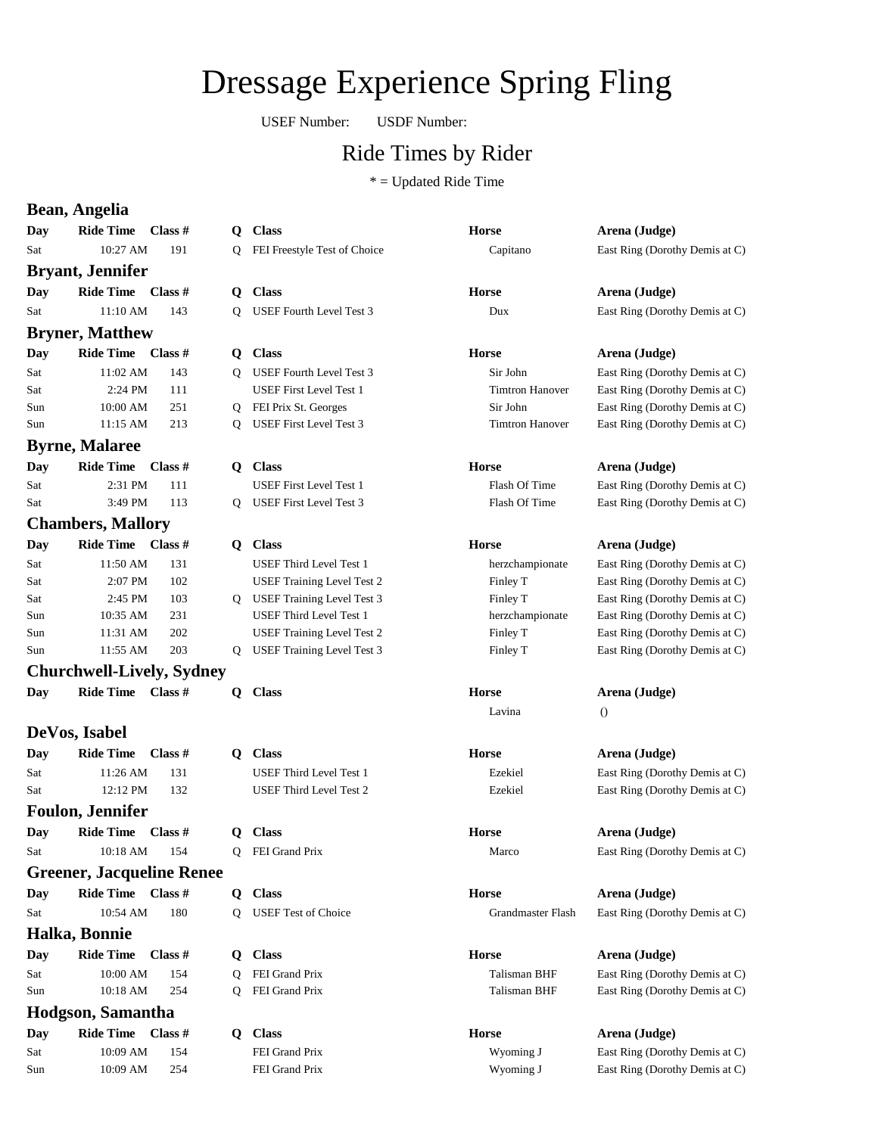# Dressage Experience Spring Fling

USEF Number: USDF Number:

# Ride Times by Rider

 $*$  = Updated Ride Time

**Bean, Angelia Bryant, Jennifer Day Ride Time Class** # **Bryner, Matthew Day Ride Time Class** # **Byrne, Malaree Chambers, Mallory Day Ride Time Class** # **Churchwell-Lively, Sydney Day Ride Time Class** # **DeVos, Isabel Day Ride Time Class** #

# **Greener, Jacqueline Renee**

# **Halka, Bonnie**

### **Hodgson, Samantha**

| Day | <b>Ride Time</b> Class |     |
|-----|------------------------|-----|
| Sat | 10:09 AM               | 154 |
| Sun | 10:09 AM               | 254 |

|     | <b>Bean, Angelia</b>             |           |              |                                   |                        |                                |
|-----|----------------------------------|-----------|--------------|-----------------------------------|------------------------|--------------------------------|
| Day | <b>Ride Time</b>                 | Class $#$ | Q            | <b>Class</b>                      | <b>Horse</b>           | Arena (Judge)                  |
| Sat | 10:27 AM                         | 191       | Q            | FEI Freestyle Test of Choice      | Capitano               | East Ring (Dorothy Demis at C) |
|     | <b>Bryant, Jennifer</b>          |           |              |                                   |                        |                                |
| Day | <b>Ride Time</b>                 | Class #   | Q.           | <b>Class</b>                      | <b>Horse</b>           | Arena (Judge)                  |
| Sat | 11:10 AM                         | 143       | O            | <b>USEF Fourth Level Test 3</b>   | Dux                    | East Ring (Dorothy Demis at C) |
|     | <b>Bryner, Matthew</b>           |           |              |                                   |                        |                                |
| Day | Ride Time Class #                |           | Q            | <b>Class</b>                      | <b>Horse</b>           | Arena (Judge)                  |
| Sat | 11:02 AM                         | 143       | $\circ$      | <b>USEF Fourth Level Test 3</b>   | Sir John               | East Ring (Dorothy Demis at C) |
| Sat | 2:24 PM                          | 111       |              | <b>USEF First Level Test 1</b>    | <b>Timtron Hanover</b> | East Ring (Dorothy Demis at C) |
| Sun | 10:00 AM                         | 251       | Q            | FEI Prix St. Georges              | Sir John               | East Ring (Dorothy Demis at C) |
| Sun | 11:15 AM                         | 213       | Q            | <b>USEF First Level Test 3</b>    | <b>Timtron Hanover</b> | East Ring (Dorothy Demis at C) |
|     | <b>Byrne, Malaree</b>            |           |              |                                   |                        |                                |
| Day | <b>Ride Time</b>                 | Class $#$ | Q            | <b>Class</b>                      | <b>Horse</b>           | Arena (Judge)                  |
| Sat | 2:31 PM                          | 111       |              | <b>USEF First Level Test 1</b>    | Flash Of Time          | East Ring (Dorothy Demis at C) |
| Sat | 3:49 PM                          | 113       | Q            | USEF First Level Test 3           | Flash Of Time          | East Ring (Dorothy Demis at C) |
|     | <b>Chambers, Mallory</b>         |           |              |                                   |                        |                                |
| Day | Ride Time Class #                |           | Q            | <b>Class</b>                      | <b>Horse</b>           | Arena (Judge)                  |
| Sat | 11:50 AM                         | 131       |              | <b>USEF Third Level Test 1</b>    | herzchampionate        | East Ring (Dorothy Demis at C) |
| Sat | 2:07 PM                          | 102       |              | USEF Training Level Test 2        | Finley T               | East Ring (Dorothy Demis at C) |
| Sat | 2:45 PM                          | 103       | Q            | <b>USEF Training Level Test 3</b> | Finley T               | East Ring (Dorothy Demis at C) |
| Sun | 10:35 AM                         | 231       |              | <b>USEF Third Level Test 1</b>    | herzchampionate        | East Ring (Dorothy Demis at C) |
| Sun | 11:31 AM                         | 202       |              | <b>USEF Training Level Test 2</b> | Finley T               | East Ring (Dorothy Demis at C) |
| Sun | 11:55 AM                         | 203       | Q            | USEF Training Level Test 3        | Finley T               | East Ring (Dorothy Demis at C) |
|     | <b>Churchwell-Lively, Sydney</b> |           |              |                                   |                        |                                |
| Day | <b>Ride Time</b>                 | Class $#$ | Q            | <b>Class</b>                      | <b>Horse</b>           | Arena (Judge)                  |
|     |                                  |           |              |                                   | Lavina                 | $\theta$                       |
|     | DeVos, Isabel                    |           |              |                                   |                        |                                |
| Day | <b>Ride Time</b>                 | Class $#$ | Q.           | <b>Class</b>                      | <b>Horse</b>           | Arena (Judge)                  |
| Sat | 11:26 AM                         | 131       |              | <b>USEF Third Level Test 1</b>    | Ezekiel                | East Ring (Dorothy Demis at C) |
| Sat | 12:12 PM                         | 132       |              | <b>USEF Third Level Test 2</b>    | Ezekiel                | East Ring (Dorothy Demis at C) |
|     | <b>Foulon, Jennifer</b>          |           |              |                                   |                        |                                |
| Day | Ride Time Class #                |           | Q            | <b>Class</b>                      | <b>Horse</b>           | Arena (Judge)                  |
| Sat | 10:18 AM                         | 154       | Q            | FEI Grand Prix                    | Marco                  | East Ring (Dorothy Demis at C) |
|     | <b>Greener, Jacqueline Renee</b> |           |              |                                   |                        |                                |
| Day | Ride Time Class #                |           | $\mathbf{Q}$ | <b>Class</b>                      | <b>Horse</b>           | Arena (Judge)                  |
| Sat | 10:54 AM                         | 180       | Q            | <b>USEF Test of Choice</b>        | Grandmaster Flash      | East Ring (Dorothy Demis at C) |
|     | Halka, Bonnie                    |           |              |                                   |                        |                                |
| Day | <b>Ride Time</b>                 | Class $#$ | Q            | <b>Class</b>                      | <b>Horse</b>           | Arena (Judge)                  |
| Sat | 10:00 AM                         | 154       |              | FEI Grand Prix                    | Talisman BHF           | East Ring (Dorothy Demis at C) |
| Sun | 10:18 AM                         | 254       | O            | FEI Grand Prix                    | Talisman BHF           | East Ring (Dorothy Demis at C) |
|     | Hodgson, Samantha                |           |              |                                   |                        |                                |

| ື້    |                                       |             | TELLICOGNE TOR OF CHOICE          | Сарнано                | $\sum_{i=1}^{\infty}$ $\sum_{i=1}^{\infty}$ |
|-------|---------------------------------------|-------------|-----------------------------------|------------------------|---------------------------------------------|
|       | Bryant, Jennifer                      |             |                                   |                        |                                             |
| Day   | <b>Ride Time</b><br>Class $#$         | Q           | <b>Class</b>                      | <b>Horse</b>           | Arena (Judge)                               |
| Sat   | 11:10 AM<br>143                       | 0           | <b>USEF Fourth Level Test 3</b>   | Dux                    | East Ring (Dorothy Demis at C)              |
|       | <b>Bryner, Matthew</b>                |             |                                   |                        |                                             |
| Day   | Ride Time Class #                     | $\mathbf o$ | <b>Class</b>                      | <b>Horse</b>           | Arena (Judge)                               |
| Sat   | 11:02 AM<br>143                       | 0           | <b>USEF Fourth Level Test 3</b>   | Sir John               | East Ring (Dorothy Demis at C)              |
| Sat   | 2:24 PM<br>111                        |             | <b>USEF First Level Test 1</b>    | <b>Timtron Hanover</b> | East Ring (Dorothy Demis at C)              |
| Sun   | 10:00 AM<br>251                       | Q           | FEI Prix St. Georges              | Sir John               | East Ring (Dorothy Demis at C)              |
| Sun   | 11:15 AM<br>213                       | Q           | USEF First Level Test 3           | <b>Timtron Hanover</b> | East Ring (Dorothy Demis at C)              |
|       | <b>Byrne, Malaree</b>                 |             |                                   |                        |                                             |
| Day   | <b>Ride Time</b><br>Class $#$         | Q.          | <b>Class</b>                      | <b>Horse</b>           | Arena (Judge)                               |
| Sat   | 2:31 PM<br>111                        |             | <b>USEF First Level Test 1</b>    | Flash Of Time          | East Ring (Dorothy Demis at C)              |
| Sat   | 3:49 PM<br>113                        |             | USEF First Level Test 3           | Flash Of Time          | East Ring (Dorothy Demis at C)              |
|       | <b>Chambers, Mallory</b>              |             |                                   |                        |                                             |
| Day   | Ride Time Class #                     | Q           | <b>Class</b>                      | <b>Horse</b>           | Arena (Judge)                               |
| Sat   | 11:50 AM<br>131                       |             | <b>USEF Third Level Test 1</b>    | herzchampionate        | East Ring (Dorothy Demis at C)              |
| Sat   | 2:07 PM<br>102                        |             | USEF Training Level Test 2        | Finley T               | East Ring (Dorothy Demis at C)              |
| Sat   | 2:45 PM<br>103                        | O           | <b>USEF Training Level Test 3</b> | Finley T               | East Ring (Dorothy Demis at C)              |
| Sun   | 10:35 AM<br>231                       |             | USEF Third Level Test 1           | herzchampionate        | East Ring (Dorothy Demis at C)              |
| Sun   | 11:31 AM<br>202                       |             | USEF Training Level Test 2        | Finley T               | East Ring (Dorothy Demis at C)              |
| Sun   | 11:55 AM<br>203                       | Q           | <b>USEF Training Level Test 3</b> | Finley T               | East Ring (Dorothy Demis at C)              |
|       | <b>Churchwell-Lively, Sydney</b>      |             |                                   |                        |                                             |
| Day   | <b>Ride Time</b><br>Class $#$         | Q           | <b>Class</b>                      | <b>Horse</b>           | Arena (Judge)                               |
|       |                                       |             |                                   | Lavina                 | $\theta$                                    |
|       | DeVos, Isabel                         |             |                                   |                        |                                             |
| Day   | <b>Ride Time</b><br>Class $#$         | Q           | <b>Class</b>                      | <b>Horse</b>           | Arena (Judge)                               |
| Sat   | 11:26 AM<br>131                       |             | <b>USEF Third Level Test 1</b>    | Ezekiel                | East Ring (Dorothy Demis at C)              |
| Sat   | 12:12 PM<br>132                       |             | USEF Third Level Test 2           | Ezekiel                | East Ring (Dorothy Demis at C)              |
|       | Foulon, Jennifer                      |             |                                   |                        |                                             |
| Day   | <b>Ride Time</b><br>Class $#$         | Q           | <b>Class</b>                      | <b>Horse</b>           | Arena (Judge)                               |
| Sat   | 10:18 AM<br>154                       | Q           | FEI Grand Prix                    | Marco                  | East Ring (Dorothy Demis at C)              |
|       | <b>Greener, Jacqueline Renee</b>      |             |                                   |                        |                                             |
| Day   | Ride Time $\text{Class } \#$          |             | O Class                           | <b>Horse</b>           | Arena (Judge)                               |
| Sat   | 10:54 AM<br>180                       |             | Q USEF Test of Choice             | Grandmaster Flash      | East Ring (Dorothy Demis at C)              |
|       | Halka, Bonnie                         |             |                                   |                        |                                             |
| Day   | <b>Ride Time</b><br>Class $#$         | Q.          | <b>Class</b>                      | Horse                  | Arena (Judge)                               |
| Sat   | 10:00 AM<br>154                       | O.          | FEI Grand Prix                    | Talisman BHF           | East Ring (Dorothy Demis at C)              |
| Sun   | 10:18 AM<br>254                       |             | <b>O</b> FEI Grand Prix           | Talisman BHF           | East Ring (Dorothy Demis at C)              |
| Н. Ј. | $\Omega$ = $\sim$ = $\sim$ 41. $\sim$ |             |                                   |                        |                                             |

# **Data Ride Times # Ride Times # Class** # **Arena** (Judge)

FEI Grand Prix **Wyoming J** East Ring (Dorothy Demis at C) 4 FEI Grand Prix **Example 26:09 AM 254 FEI Grand Prix** Wyoming J East Ring (Dorothy Demis at C)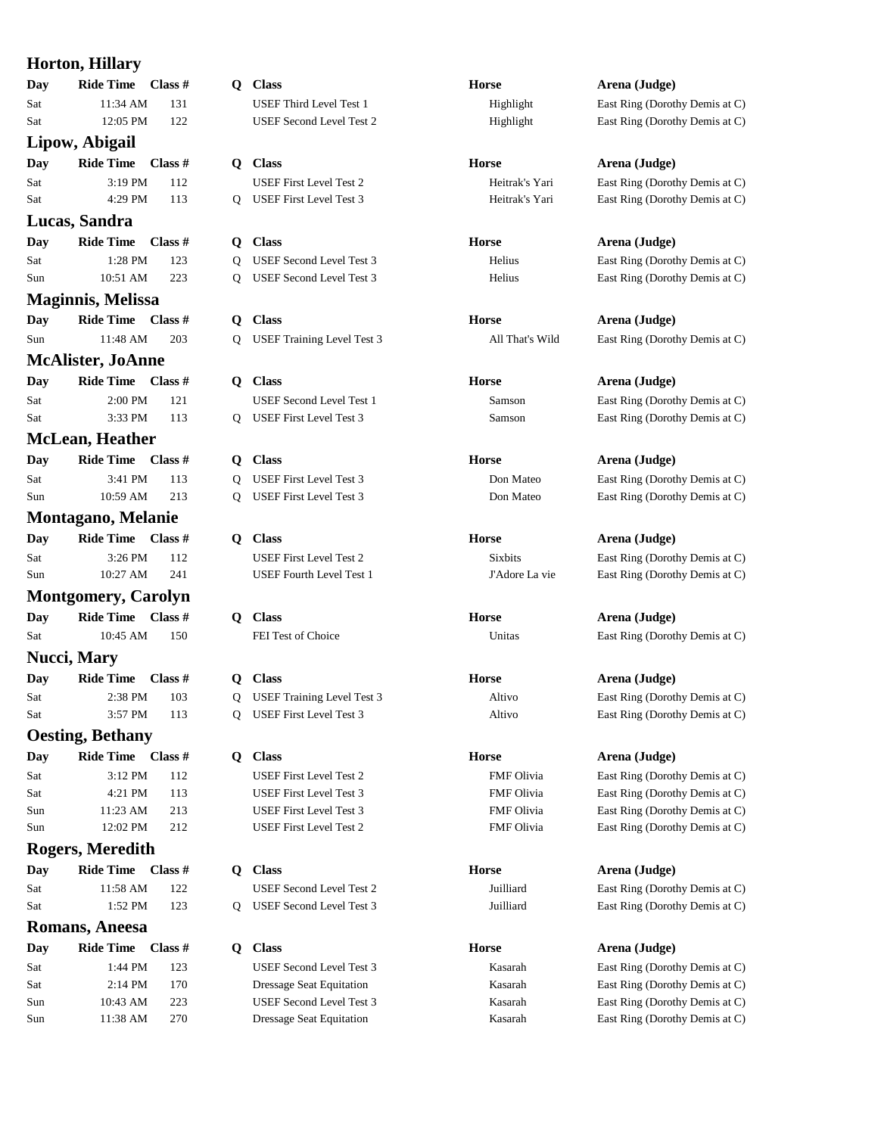# **Horton, Hillary**

| Day | $\mathbf{N}$ uc Time Ulass $\pi$ |           | v          | - 11455                        | погзе          | Archa (Juuge)    |
|-----|----------------------------------|-----------|------------|--------------------------------|----------------|------------------|
| Sat | 11:34 AM                         | 131       |            | USEF Third Level Test 1        | Highlight      | East Ring (Dorot |
| Sat | 12:05 PM                         | 122       |            | USEF Second Level Test 2       | Highlight      | East Ring (Dorot |
|     | Lipow, Abigail                   |           |            |                                |                |                  |
| Day | <b>Ride Time</b>                 | Class $#$ | $_{\rm o}$ | <b>Class</b>                   | <b>Horse</b>   | Arena (Judge)    |
| Sat | $3:19$ PM                        | 112       |            | <b>USEF First Level Test 2</b> | Heitrak's Yari | East Ring (Dorot |
| Sat | 4:29 PM                          | 113       | $\Omega$   | <b>USEF First Level Test 3</b> | Heitrak's Yari | East Ring (Dorot |
|     | Lucas, Sandra                    |           |            |                                |                |                  |

**Day Ride Time Class # Q Class Horse Arena (Judge)** Sat 1:28 PM 123 Q USEF Second Level Test 3 Helius East Ring (Dorothy Demis at C) Sun 10:51 AM 223 Q USEF Second Level Test 3 Helius East Ring (Dorothy Demis at C)

# **Maginnis, Melissa**

**Day Ride Time Class # Q Class Arena (Judge) Horse Arena (Judge)** Sun 11:48 AM 203 Q USEF Training Level Test 3 All That's Wild East Ring (Dorothy Demis at C)

# **McAlister, JoAnne**

Sat 2:00 PM 121 USEF Second Level Test 1 Samson East Ring (Dorothy Demis at C)

# **McLean, Heather**

**Day Ride Time Class # Q Class Arena (Judge) Horse Arena (Judge)** Sat 3:41 PM 113 Q USEF First Level Test 3 Don Mateo East Ring (Dorothy Demis at C) Sun 10:59 AM 213 Q USEF First Level Test 3 Don Mateo East Ring (Dorothy Demis at C)

# **Montagano, Melanie**

**Day Ride Time Class # Q Class Arena (Judge) Horse Arena (Judge)** Sat 3:26 PM 112 USEF First Level Test 2 Sixbits East Ring (Dorothy Demis at C) Sun 10:27 AM 241 USEF Fourth Level Test 1 J'Adore La vie East Ring (Dorothy Demis at C)

## **Montgomery, Carolyn**

**Day Ride Time Class # Q Class Arena (Judge) Horse Arena (Judge)** Sat 10:45 AM 150 FEI Test of Choice Unitas East Ring (Dorothy Demis at C)

# **Nucci, Mary**

| Day        | Ride Time $\text{Class } \#$ |     |
|------------|------------------------------|-----|
| <b>Sat</b> | $2:38$ PM                    | 103 |
| <b>Sat</b> | $3:57$ PM                    | 113 |

## **Oesting, Bethany**

| Day       | Ride Time Class # |     |
|-----------|-------------------|-----|
| Sat       | $3:12$ PM         | 112 |
| Sat       | $4:21$ PM         | 113 |
| Sun       | $11:23$ AM        | 213 |
| $S_{11n}$ | $12.02$ PM        | 212 |

# **Rogers, Meredith**

| Day        | Ride Time Class # |     |
|------------|-------------------|-----|
| Sat        | $11:58$ AM        | 122 |
| <b>Sat</b> | $1:52 \text{ PM}$ | 123 |

# **Romans, Aneesa**

| Day | Ride Time Class # |     |
|-----|-------------------|-----|
| Sat | $1:44$ PM         | 123 |
| Sat | $2.14 \text{ PM}$ | 170 |
| Sun | $10:43$ AM        | 223 |
| Sun | $11:38$ AM        | 270 |

**Day Ride Time Class # Q Class Arena Horse Arena** (Judge)

- **Day Ride Time Class # Q Class Arena (Judge) Arena (Judge)** 
	-

# USEF Third Level Test 1 Highlight East Ring (Dorothy Demis at C) USEF Second Level Test 2 Highlight East Ring (Dorothy Demis at C)

USEF First Level Test 2 Heitrak's Yari East Ring (Dorothy Demis at C) Q USEF First Level Test 3 Heitrak's Yari East Ring (Dorothy Demis at C)

Sat 3:33 PM 113 Q USEF First Level Test 3 Samson East Ring (Dorothy Demis at C)

**D Class Horse Arena (Judge)** Q USEF Training Level Test 3 Altivo East Ring (Dorothy Demis at C) Q USEF First Level Test 3 Altivo East Ring (Dorothy Demis at C)

USEF First Level Test 2 FMF Olivia East Ring (Dorothy Demis at C) USEF First Level Test 3 FMF Olivia East Ring (Dorothy Demis at C) USEF First Level Test 3 FMF Olivia East Ring (Dorothy Demis at C) 12:02 PM 212 USEF First Level Test 2 FMF Olivia East Ring (Dorothy Demis at C)

# **Day Ride Time Class # Q Class Horse Arena (Judge)**

USEF Second Level Test 2 Juilliard East Ring (Dorothy Demis at C) Q USEF Second Level Test 3 Juilliard East Ring (Dorothy Demis at C)

### **D Class Horse Arena (Judge)**

USEF Second Level Test 3 Kasarah East Ring (Dorothy Demis at C) Dressage Seat Equitation **East Ring (Dorothy Demis at C)** East Ring (Dorothy Demis at C) USEF Second Level Test 3 Kasarah East Ring (Dorothy Demis at C) Dressage Seat Equitation **East Ring (Dorothy Demis at C)** East Ring (Dorothy Demis at C)

# **Day Ride Time Class # Q Class Horse Arena (Judge)**